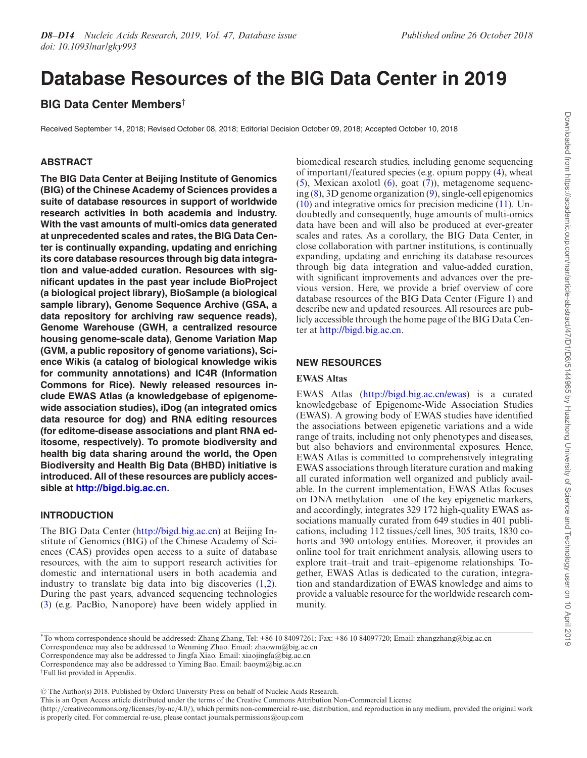# **Database Resources of the BIG Data Center in 2019**

## **BIG Data Center Members***†*

Received September 14, 2018; Revised October 08, 2018; Editorial Decision October 09, 2018; Accepted October 10, 2018

## **ABSTRACT**

**The BIG Data Center at Beijing Institute of Genomics (BIG) of the Chinese Academy of Sciences provides a suite of database resources in support of worldwide research activities in both academia and industry. With the vast amounts of multi-omics data generated at unprecedented scales and rates, the BIG Data Center is continually expanding, updating and enriching its core database resources through big data integration and value-added curation. Resources with significant updates in the past year include BioProject (a biological project library), BioSample (a biological sample library), Genome Sequence Archive (GSA, a data repository for archiving raw sequence reads), Genome Warehouse (GWH, a centralized resource housing genome-scale data), Genome Variation Map (GVM, a public repository of genome variations), Science Wikis (a catalog of biological knowledge wikis for community annotations) and IC4R (Information Commons for Rice). Newly released resources include EWAS Atlas (a knowledgebase of epigenomewide association studies), iDog (an integrated omics data resource for dog) and RNA editing resources (for editome-disease associations and plant RNA editosome, respectively). To promote biodiversity and health big data sharing around the world, the Open Biodiversity and Health Big Data (BHBD) initiative is introduced. All of these resources are publicly accessible at [http://bigd.big.ac.cn.](http://bigd.big.ac.cn)**

## **INTRODUCTION**

The BIG Data Center [\(http://bigd.big.ac.cn\)](http://bigd.big.ac.cn) at Beijing Institute of Genomics (BIG) of the Chinese Academy of Sciences (CAS) provides open access to a suite of database resources, with the aim to support research activities for domestic and international users in both academia and industry to translate big data into big discoveries [\(1,2\)](#page-4-0). During the past years, advanced sequencing technologies [\(3\)](#page-4-0) (e.g. PacBio, Nanopore) have been widely applied in

biomedical research studies, including genome sequencing of important/featured species (e.g. opium poppy [\(4\)](#page-4-0), wheat [\(5\)](#page-4-0), Mexican axolotl [\(6\)](#page-4-0), goat [\(7\)](#page-4-0)), metagenome sequencing [\(8\)](#page-4-0), 3D genome organization [\(9\)](#page-4-0), single-cell epigenomics  $(10)$  and integrative omics for precision medicine  $(11)$ . Undoubtedly and consequently, huge amounts of multi-omics data have been and will also be produced at ever-greater scales and rates. As a corollary, the BIG Data Center, in close collaboration with partner institutions, is continually expanding, updating and enriching its database resources through big data integration and value-added curation, with significant improvements and advances over the previous version. Here, we provide a brief overview of core database resources of the BIG Data Center (Figure [1\)](#page-1-0) and describe new and updated resources. All resources are publicly accessible through the home page of the BIG Data Center at [http://bigd.big.ac.cn.](http://bigd.big.ac.cn)

## **NEW RESOURCES**

## **EWAS Altas**

EWAS Atlas [\(http://bigd.big.ac.cn/ewas\)](http://bigd.big.ac.cn/ewas) is a curated knowledgebase of Epigenome-Wide Association Studies (EWAS). A growing body of EWAS studies have identified the associations between epigenetic variations and a wide range of traits, including not only phenotypes and diseases, but also behaviors and environmental exposures. Hence, EWAS Atlas is committed to comprehensively integrating EWAS associations through literature curation and making all curated information well organized and publicly available. In the current implementation, EWAS Atlas focuses on DNA methylation––one of the key epigenetic markers, and accordingly, integrates 329 172 high-quality EWAS associations manually curated from 649 studies in 401 publications, including 112 tissues/cell lines, 305 traits, 1830 cohorts and 390 ontology entities. Moreover, it provides an online tool for trait enrichment analysis, allowing users to explore trait–trait and trait–epigenome relationships. Together, EWAS Atlas is dedicated to the curation, integration and standardization of EWAS knowledge and aims to provide a valuable resource for the worldwide research community.

\*To whom correspondence should be addressed: Zhang Zhang, Tel: +86 10 84097261; Fax: +86 10 84097720; Email: zhangzhang@big.ac.cn

Correspondence may also be addressed to Wenming Zhao. Email: zhaowm@big.ac.cn

Correspondence may also be addressed to Jingfa Xiao. Email: xiaojingfa@big.ac.cn

Correspondence may also be addressed to Yiming Bao. Email: baoym@big.ac.cn

-<sup>C</sup> The Author(s) 2018. Published by Oxford University Press on behalf of Nucleic Acids Research.

(http://creativecommons.org/licenses/by-nc/4.0/), which permits non-commercial re-use, distribution, and reproduction in any medium, provided the original work is properly cited. For commercial re-use, please contact journals.permissions@oup.com

<sup>†</sup>Full list provided in Appendix.

This is an Open Access article distributed under the terms of the Creative Commons Attribution Non-Commercial License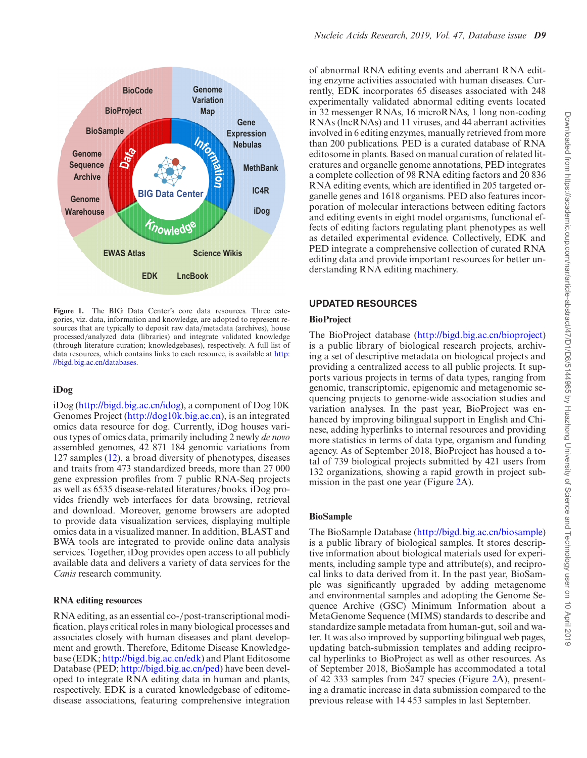<span id="page-1-0"></span>

Figure 1. The BIG Data Center's core data resources. Three categories, viz. data, information and knowledge, are adopted to represent resources that are typically to deposit raw data/metadata (archives), house processed/analyzed data (libraries) and integrate validated knowledge (through literature curation; knowledgebases), respectively. A full list of [data resources, which contains links to each resource, is available at](http://bigd.big.ac.cn/databases) http: //bigd.big.ac.cn/databases.

#### **iDog**

iDog [\(http://bigd.big.ac.cn/idog\)](http://bigd.big.ac.cn/idog), a component of Dog 10K Genomes Project [\(http://dog10k.big.ac.cn\)](http://dog10k.big.ac.cn), is an integrated omics data resource for dog. Currently, iDog houses various types of omics data, primarily including 2 newly *de novo* assembled genomes, 42 871 184 genomic variations from 127 samples [\(12\)](#page-4-0), a broad diversity of phenotypes, diseases and traits from 473 standardized breeds, more than 27 000 gene expression profiles from 7 public RNA-Seq projects as well as 6535 disease-related literatures/books. iDog provides friendly web interfaces for data browsing, retrieval and download. Moreover, genome browsers are adopted to provide data visualization services, displaying multiple omics data in a visualized manner. In addition, BLAST and BWA tools are integrated to provide online data analysis services. Together, iDog provides open access to all publicly available data and delivers a variety of data services for the *Canis* research community.

## **RNA editing resources**

RNA editing, as an essential co-/post-transcriptional modification, plays critical roles in many biological processes and associates closely with human diseases and plant development and growth. Therefore, Editome Disease Knowledgebase (EDK; [http://bigd.big.ac.cn/edk\)](http://bigd.big.ac.cn/edk) and Plant Editosome Database (PED; [http://bigd.big.ac.cn/ped\)](http://bigd.big.ac.cn/ped) have been developed to integrate RNA editing data in human and plants, respectively. EDK is a curated knowledgebase of editomedisease associations, featuring comprehensive integration of abnormal RNA editing events and aberrant RNA editing enzyme activities associated with human diseases. Currently, EDK incorporates 65 diseases associated with 248 experimentally validated abnormal editing events located in 32 messenger RNAs, 16 microRNAs, 1 long non-coding RNAs (lncRNAs) and 11 viruses, and 44 aberrant activities involved in 6 editing enzymes, manually retrieved from more than 200 publications. PED is a curated database of RNA editosome in plants. Based on manual curation of related literatures and organelle genome annotations, PED integrates a complete collection of 98 RNA editing factors and 20 836 RNA editing events, which are identified in 205 targeted organelle genes and 1618 organisms. PED also features incorporation of molecular interactions between editing factors and editing events in eight model organisms, functional effects of editing factors regulating plant phenotypes as well as detailed experimental evidence. Collectively, EDK and PED integrate a comprehensive collection of curated RNA editing data and provide important resources for better understanding RNA editing machinery.

## **UPDATED RESOURCES**

#### **BioProject**

The BioProject database [\(http://bigd.big.ac.cn/bioproject\)](http://bigd.big.ac.cn/bioproject) is a public library of biological research projects, archiving a set of descriptive metadata on biological projects and providing a centralized access to all public projects. It supports various projects in terms of data types, ranging from genomic, transcriptomic, epigenomic and metagenomic sequencing projects to genome-wide association studies and variation analyses. In the past year, BioProject was enhanced by improving bilingual support in English and Chinese, adding hyperlinks to internal resources and providing more statistics in terms of data type, organism and funding agency. As of September 2018, BioProject has housed a total of 739 biological projects submitted by 421 users from 132 organizations, showing a rapid growth in project submission in the past one year (Figure [2A](#page-2-0)).

## **BioSample**

The BioSample Database [\(http://bigd.big.ac.cn/biosample\)](http://bigd.big.ac.cn/biosample) is a public library of biological samples. It stores descriptive information about biological materials used for experiments, including sample type and attribute(s), and reciprocal links to data derived from it. In the past year, BioSample was significantly upgraded by adding metagenome and environmental samples and adopting the Genome Sequence Archive (GSC) Minimum Information about a MetaGenome Sequence (MIMS) standards to describe and standardize sample metadata from human-gut, soil and water. It was also improved by supporting bilingual web pages, updating batch-submission templates and adding reciprocal hyperlinks to BioProject as well as other resources. As of September 2018, BioSample has accommodated a total of 42 333 samples from 247 species (Figure [2A](#page-2-0)), presenting a dramatic increase in data submission compared to the previous release with 14 453 samples in last September.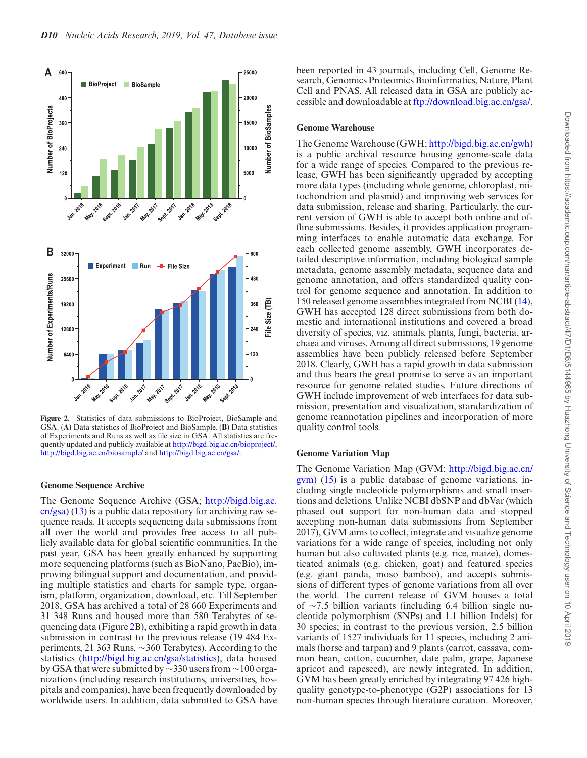<span id="page-2-0"></span>

**Figure 2.** Statistics of data submissions to BioProject, BioSample and GSA. (**A**) Data statistics of BioProject and BioSample. (**B**) Data statistics of Experiments and Runs as well as file size in GSA. All statistics are frequently updated and publicly available at [http://bigd.big.ac.cn/bioproject/,](http://bigd.big.ac.cn/bioproject/) <http://bigd.big.ac.cn/biosample/> and [http://bigd.big.ac.cn/gsa/.](http://bigd.big.ac.cn/gsa/)

#### **Genome Sequence Archive**

The Genome Sequence Archive (GSA; http://bigd.big.ac. [cn/gsa\) \(13\) is a public data repository for archiving raw se](http://bigd.big.ac.cn/gsa)quence reads. It accepts sequencing data submissions from all over the world and provides free access to all publicly available data for global scientific communities. In the past year, GSA has been greatly enhanced by supporting more sequencing platforms (such as BioNano, PacBio), improving bilingual support and documentation, and providing multiple statistics and charts for sample type, organism, platform, organization, download, etc. Till September 2018, GSA has archived a total of 28 660 Experiments and 31 348 Runs and housed more than 580 Terabytes of sequencing data (Figure 2B), exhibiting a rapid growth in data submission in contrast to the previous release (19 484 Experiments, 21 363 Runs, ∼360 Terabytes). According to the statistics [\(http://bigd.big.ac.cn/gsa/statistics\)](http://bigd.big.ac.cn/gsa/statistics), data housed by GSA that were submitted by ∼330 users from ∼100 organizations (including research institutions, universities, hospitals and companies), have been frequently downloaded by worldwide users. In addition, data submitted to GSA have

been reported in 43 journals, including Cell, Genome Research, Genomics Proteomics Bioinformatics, Nature, Plant Cell and PNAS. All released data in GSA are publicly accessible and downloadable at [ftp://download.big.ac.cn/gsa/.](ftp://download.big.ac.cn/gsa/)

#### **Genome Warehouse**

The Genome Warehouse (GWH; [http://bigd.big.ac.cn/gwh\)](http://bigd.big.ac.cn/gwh) is a public archival resource housing genome-scale data for a wide range of species. Compared to the previous release, GWH has been significantly upgraded by accepting more data types (including whole genome, chloroplast, mitochondrion and plasmid) and improving web services for data submission, release and sharing. Particularly, the current version of GWH is able to accept both online and offline submissions. Besides, it provides application programming interfaces to enable automatic data exchange. For each collected genome assembly, GWH incorporates detailed descriptive information, including biological sample metadata, genome assembly metadata, sequence data and genome annotation, and offers standardized quality control for genome sequence and annotation. In addition to 150 released genome assemblies integrated from NCBI [\(14\)](#page-4-0), GWH has accepted 128 direct submissions from both domestic and international institutions and covered a broad diversity of species, viz. animals, plants, fungi, bacteria, archaea and viruses. Among all direct submissions, 19 genome assemblies have been publicly released before September 2018. Clearly, GWH has a rapid growth in data submission and thus bears the great promise to serve as an important resource for genome related studies. Future directions of GWH include improvement of web interfaces for data submission, presentation and visualization, standardization of genome reannotation pipelines and incorporation of more quality control tools.

#### **Genome Variation Map**

The Genome Variation Map (GVM; http://bigd.big.ac.cn/ [gvm\) \(15\) is a public database of genome variations, in](http://bigd.big.ac.cn/gvm)cluding single nucleotide polymorphisms and small insertions and deletions. Unlike NCBI dbSNP and dbVar (which phased out support for non-human data and stopped accepting non-human data submissions from September 2017), GVM aims to collect, integrate and visualize genome variations for a wide range of species, including not only human but also cultivated plants (e.g. rice, maize), domesticated animals (e.g. chicken, goat) and featured species (e.g. giant panda, moso bamboo), and accepts submissions of different types of genome variations from all over the world. The current release of GVM houses a total of ∼7.5 billion variants (including 6.4 billion single nucleotide polymorphism (SNPs) and 1.1 billion Indels) for 30 species; in contrast to the previous version, 2.5 billion variants of 1527 individuals for 11 species, including 2 animals (horse and tarpan) and 9 plants (carrot, cassava, common bean, cotton, cucumber, date palm, grape, Japanese apricot and rapeseed), are newly integrated. In addition, GVM has been greatly enriched by integrating 97 426 highquality genotype-to-phenotype (G2P) associations for 13 non-human species through literature curation. Moreover,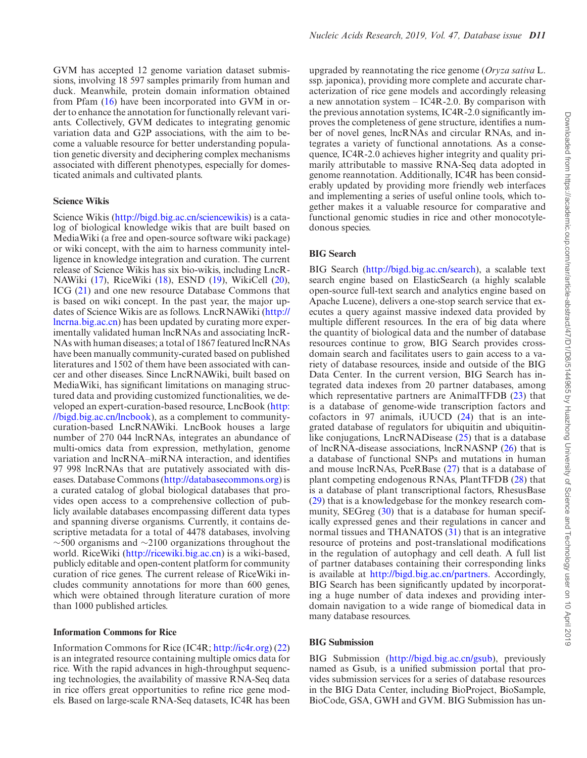GVM has accepted 12 genome variation dataset submissions, involving 18 597 samples primarily from human and duck. Meanwhile, protein domain information obtained from Pfam [\(16\)](#page-5-0) have been incorporated into GVM in order to enhance the annotation for functionally relevant variants. Collectively, GVM dedicates to integrating genomic variation data and G2P associations, with the aim to become a valuable resource for better understanding population genetic diversity and deciphering complex mechanisms associated with different phenotypes, especially for domesticated animals and cultivated plants.

#### **Science Wikis**

Science Wikis [\(http://bigd.big.ac.cn/sciencewikis\)](http://bigd.big.ac.cn/sciencewikis) is a catalog of biological knowledge wikis that are built based on MediaWiki (a free and open-source software wiki package) or wiki concept, with the aim to harness community intelligence in knowledge integration and curation. The current release of Science Wikis has six bio-wikis, including LncR-NAWiki [\(17\)](#page-5-0), RiceWiki [\(18\)](#page-5-0), ESND [\(19\)](#page-5-0), WikiCell [\(20\)](#page-5-0), ICG [\(21\)](#page-5-0) and one new resource Database Commons that is based on wiki concept. In the past year, the major updates of Science Wikis are as follows. LncRNAWiki (http:// [lncrna.big.ac.cn\) has been updated by curating more exper](http://lncrna.big.ac.cn)imentally validated human lncRNAs and associating lncR-NAs with human diseases; a total of 1867 featured lncRNAs have been manually community-curated based on published literatures and 1502 of them have been associated with cancer and other diseases. Since LncRNAWiki, built based on MediaWiki, has significant limitations on managing structured data and providing customized functionalities, we de[veloped an expert-curation-based resource, LncBook \(http:](http://bigd.big.ac.cn/lncbook) //bigd.big.ac.cn/lncbook), as a complement to communitycuration-based LncRNAWiki. LncBook houses a large number of 270 044 lncRNAs, integrates an abundance of multi-omics data from expression, methylation, genome variation and lncRNA–miRNA interaction, and identifies 97 998 lncRNAs that are putatively associated with diseases. Database Commons [\(http://databasecommons.org\)](http://databasecommons.org) is a curated catalog of global biological databases that provides open access to a comprehensive collection of publicly available databases encompassing different data types and spanning diverse organisms. Currently, it contains descriptive metadata for a total of 4478 databases, involving  $~\sim$ 500 organisms and  $~\sim$ 2100 organizations throughout the world. RiceWiki [\(http://ricewiki.big.ac.cn\)](http://ricewiki.big.ac.cn) is a wiki-based, publicly editable and open-content platform for community curation of rice genes. The current release of RiceWiki includes community annotations for more than 600 genes, which were obtained through literature curation of more than 1000 published articles.

#### **Information Commons for Rice**

Information Commons for Rice (IC4R; [http://ic4r.org\)](http://ic4r.org) [\(22\)](#page-5-0) is an integrated resource containing multiple omics data for rice. With the rapid advances in high-throughput sequencing technologies, the availability of massive RNA-Seq data in rice offers great opportunities to refine rice gene models. Based on large-scale RNA-Seq datasets, IC4R has been upgraded by reannotating the rice genome (*Oryza sativa* L. ssp. japonica), providing more complete and accurate characterization of rice gene models and accordingly releasing a new annotation system – IC4R-2.0. By comparison with the previous annotation systems, IC4R-2.0 significantly improves the completeness of gene structure, identifies a number of novel genes, lncRNAs and circular RNAs, and integrates a variety of functional annotations. As a consequence, IC4R-2.0 achieves higher integrity and quality primarily attributable to massive RNA-Seq data adopted in genome reannotation. Additionally, IC4R has been considerably updated by providing more friendly web interfaces and implementing a series of useful online tools, which together makes it a valuable resource for comparative and functional genomic studies in rice and other monocotyledonous species.

#### **BIG Search**

BIG Search [\(http://bigd.big.ac.cn/search\)](http://bigd.big.ac.cn/search), a scalable text search engine based on ElasticSearch (a highly scalable open-source full-text search and analytics engine based on Apache Lucene), delivers a one-stop search service that executes a query against massive indexed data provided by multiple different resources. In the era of big data where the quantity of biological data and the number of database resources continue to grow, BIG Search provides crossdomain search and facilitates users to gain access to a variety of database resources, inside and outside of the BIG Data Center. In the current version, BIG Search has integrated data indexes from 20 partner databases, among which representative partners are AnimalTFDB [\(23\)](#page-5-0) that is a database of genome-wide transcription factors and cofactors in 97 animals, iUUCD [\(24\)](#page-5-0) that is an integrated database of regulators for ubiquitin and ubiquitinlike conjugations, LncRNADisease  $(25)$  that is a database of lncRNA-disease associations, lncRNASNP [\(26\)](#page-5-0) that is a database of functional SNPs and mutations in human and mouse lncRNAs, PceRBase [\(27\)](#page-5-0) that is a database of plant competing endogenous RNAs, PlantTFDB [\(28\)](#page-5-0) that is a database of plant transcriptional factors, RhesusBase [\(29\)](#page-5-0) that is a knowledgebase for the monkey research com-munity, SEGreg [\(30\)](#page-5-0) that is a database for human specifically expressed genes and their regulations in cancer and normal tissues and THANATOS [\(31\)](#page-5-0) that is an integrative resource of proteins and post-translational modifications in the regulation of autophagy and cell death. A full list of partner databases containing their corresponding links is available at [http://bigd.big.ac.cn/partners.](http://bigd.big.ac.cn/partners) Accordingly, BIG Search has been significantly updated by incorporating a huge number of data indexes and providing interdomain navigation to a wide range of biomedical data in many database resources.

## **BIG Submission**

BIG Submission [\(http://bigd.big.ac.cn/gsub\)](http://bigd.big.ac.cn/gsub), previously named as Gsub, is a unified submission portal that provides submission services for a series of database resources in the BIG Data Center, including BioProject, BioSample, BioCode, GSA, GWH and GVM. BIG Submission has un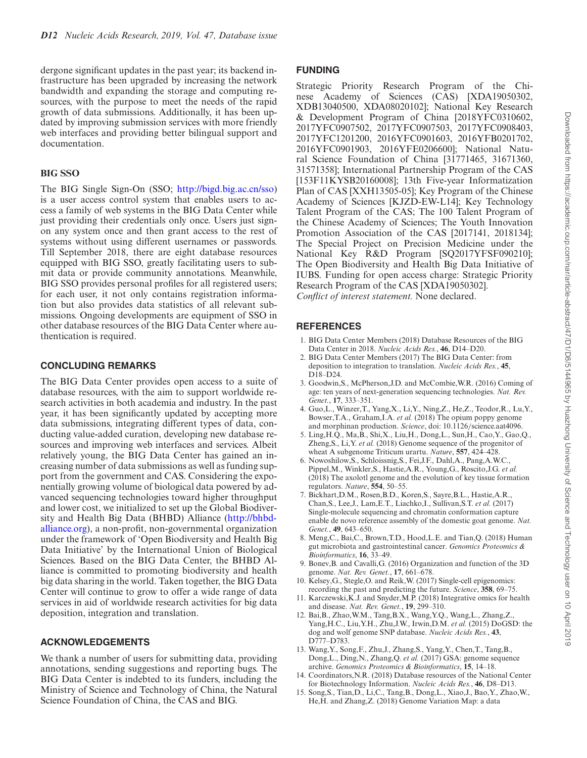<span id="page-4-0"></span>dergone significant updates in the past year; its backend infrastructure has been upgraded by increasing the network bandwidth and expanding the storage and computing resources, with the purpose to meet the needs of the rapid growth of data submissions. Additionally, it has been updated by improving submission services with more friendly web interfaces and providing better bilingual support and documentation.

## **BIG SSO**

The BIG Single Sign-On (SSO; [http://bigd.big.ac.cn/sso\)](http://bigd.big.ac.cn/sso) is a user access control system that enables users to access a family of web systems in the BIG Data Center while just providing their credentials only once. Users just signon any system once and then grant access to the rest of systems without using different usernames or passwords. Till September 2018, there are eight database resources equipped with BIG SSO, greatly facilitating users to submit data or provide community annotations. Meanwhile, BIG SSO provides personal profiles for all registered users; for each user, it not only contains registration information but also provides data statistics of all relevant submissions. Ongoing developments are equipment of SSO in other database resources of the BIG Data Center where authentication is required.

## **CONCLUDING REMARKS**

The BIG Data Center provides open access to a suite of database resources, with the aim to support worldwide research activities in both academia and industry. In the past year, it has been significantly updated by accepting more data submissions, integrating different types of data, conducting value-added curation, developing new database resources and improving web interfaces and services. Albeit relatively young, the BIG Data Center has gained an increasing number of data submissions as well as funding support from the government and CAS. Considering the exponentially growing volume of biological data powered by advanced sequencing technologies toward higher throughput and lower cost, we initialized to set up the Global Biodiversity and Health Big Data (BHBD) Alliance (http://bhbd[alliance.org\), a non-profit, non-governmental organization](http://bhbd-alliance.org) under the framework of 'Open Biodiversity and Health Big Data Initiative' by the International Union of Biological Sciences. Based on the BIG Data Center, the BHBD Alliance is committed to promoting biodiversity and health big data sharing in the world. Taken together, the BIG Data Center will continue to grow to offer a wide range of data services in aid of worldwide research activities for big data deposition, integration and translation.

## **ACKNOWLEDGEMENTS**

We thank a number of users for submitting data, providing annotations, sending suggestions and reporting bugs. The BIG Data Center is indebted to its funders, including the Ministry of Science and Technology of China, the Natural Science Foundation of China, the CAS and BIG.

## **FUNDING**

Strategic Priority Research Program of the Chinese Academy of Sciences (CAS) [XDA19050302, XDB13040500, XDA08020102]; National Key Research & Development Program of China [2018YFC0310602, 2017YFC0907502, 2017YFC0907503, 2017YFC0908403, 2017YFC1201200, 2016YFC0901603, 2016YFB0201702, 2016YFC0901903, 2016YFE0206600]; National Natural Science Foundation of China [31771465, 31671360, 31571358]; International Partnership Program of the CAS [153F11KYSB20160008]; 13th Five-year Informatization Plan of CAS [XXH13505-05]; Key Program of the Chinese Academy of Sciences [KJZD-EW-L14]; Key Technology Talent Program of the CAS; The 100 Talent Program of the Chinese Academy of Sciences; The Youth Innovation Promotion Association of the CAS [2017141, 2018134]; The Special Project on Precision Medicine under the National Key R&D Program [SQ2017YFSF090210]; The Open Biodiversity and Health Big Data Initiative of IUBS. Funding for open access charge: Strategic Priority Research Program of the CAS [XDA19050302]. *Conflict of interest statement.* None declared.

#### **REFERENCES**

- 1. BIG Data Center Members (2018) Database Resources of the BIG Data Center in 2018. *Nucleic Acids Res.*, **46**, D14–D20.
- 2. BIG Data Center Members (2017) The BIG Data Center: from deposition to integration to translation. *Nucleic Acids Res.*, **45**,  $D18-D24$
- 3. Goodwin,S., McPherson,J.D. and McCombie,W.R. (2016) Coming of age: ten years of next-generation sequencing technologies. *Nat. Rev. Genet.*, **17**, 333–351.
- 4. Guo,L., Winzer,T., Yang,X., Li,Y., Ning,Z., He,Z., Teodor,R., Lu,Y., Bowser,T.A., Graham,I.A. *et al.* (2018) The opium poppy genome and morphinan production. *Science*, doi: 10.1126/science.aat4096.
- 5. Ling,H.Q., Ma,B., Shi,X., Liu,H., Dong,L., Sun,H., Cao,Y., Gao,Q., Zheng,S., Li,Y. *et al.* (2018) Genome sequence of the progenitor of wheat A subgenome Triticum urartu. *Nature*, **557**, 424–428.
- 6. Nowoshilow,S., Schloissnig,S., Fei,J.F., Dahl,A., Pang,A.W.C., Pippel,M., Winkler,S., Hastie,A.R., Young,G., Roscito,J.G. *et al.* (2018) The axolotl genome and the evolution of key tissue formation regulators. *Nature*, **554**, 50–55.
- 7. Bickhart,D.M., Rosen,B.D., Koren,S., Sayre,B.L., Hastie,A.R., Chan,S., Lee,J., Lam,E.T., Liachko,I., Sullivan,S.T. *et al.* (2017) Single-molecule sequencing and chromatin conformation capture enable de novo reference assembly of the domestic goat genome. *Nat. Genet.*, **49**, 643–650.
- 8. Meng,C., Bai,C., Brown,T.D., Hood,L.E. and Tian,Q. (2018) Human gut microbiota and gastrointestinal cancer. *Genomics Proteomics & Bioinformatics*, **16**, 33–49.
- 9. Bonev,B. and Cavalli,G. (2016) Organization and function of the 3D genome. *Nat. Rev. Genet.*, **17**, 661–678.
- 10. Kelsey,G., Stegle,O. and Reik,W. (2017) Single-cell epigenomics: recording the past and predicting the future. *Science*, **358**, 69–75.
- 11. Karczewski,K.J. and Snyder,M.P. (2018) Integrative omics for health and disease. *Nat. Rev. Genet.*, **19**, 299–310.
- 12. Bai,B., Zhao,W.M., Tang,B.X., Wang,Y.Q., Wang,L., Zhang,Z., Yang,H.C., Liu,Y.H., Zhu,J.W., Irwin,D.M. *et al.* (2015) DoGSD: the dog and wolf genome SNP database. *Nucleic Acids Res.*, **43**, D777–D783.
- 13. Wang,Y., Song,F., Zhu,J., Zhang,S., Yang,Y., Chen,T., Tang,B., Dong,L., Ding,N., Zhang,Q. *et al.* (2017) GSA: genome sequence archive. *Genomics Proteomics & Bioinformatics*, **15**, 14–18.
- 14. Coordinators,N.R. (2018) Database resources of the National Center for Biotechnology Information. *Nucleic Acids Res.*, **46**, D8–D13.
- 15. Song,S., Tian,D., Li,C., Tang,B., Dong,L., Xiao,J., Bao,Y., Zhao,W., He,H. and Zhang,Z. (2018) Genome Variation Map: a data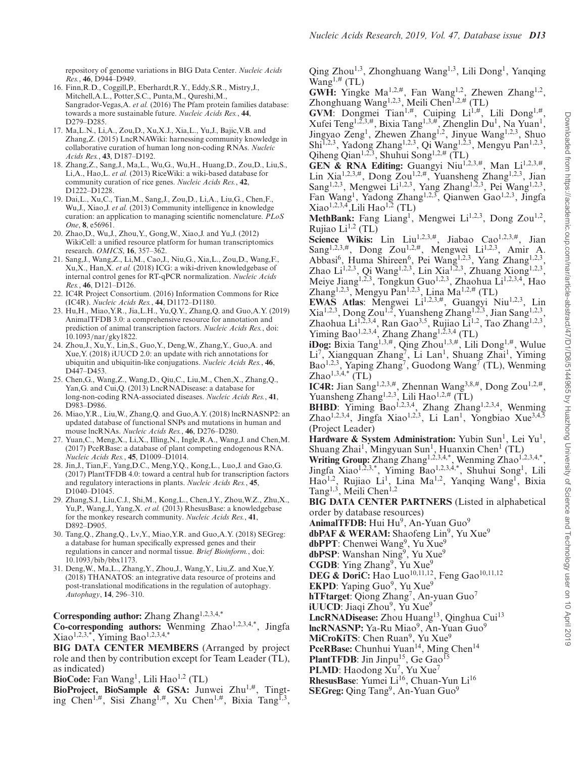<span id="page-5-0"></span>repository of genome variations in BIG Data Center. *Nucleic Acids Res.*, **46**, D944–D949.

- 16. Finn,R.D., Coggill,P., Eberhardt,R.Y., Eddy,S.R., Mistry,J., Mitchell,A.L., Potter,S.C., Punta,M., Qureshi,M., Sangrador-Vegas,A. *et al.* (2016) The Pfam protein families database: towards a more sustainable future. *Nucleic Acids Res.*, **44**, D279–D285.
- 17. Ma,L.N., Li,A., Zou,D., Xu,X.J., Xia,L., Yu,J., Bajic,V.B. and Zhang,Z. (2015) LncRNAWiki: harnessing community knowledge in collaborative curation of human long non-coding RNAs. *Nucleic Acids Res.*, **43**, D187–D192.
- 18. Zhang,Z., Sang,J., Ma,L., Wu,G., Wu,H., Huang,D., Zou,D., Liu,S., Li,A., Hao,L. *et al.* (2013) RiceWiki: a wiki-based database for community curation of rice genes. *Nucleic Acids Res.*, **42**, D1222–D1228.
- 19. Dai,L., Xu,C., Tian,M., Sang,J., Zou,D., Li,A., Liu,G., Chen,F., Wu,J., Xiao,J. *et al.* (2013) Community intelligence in knowledge curation: an application to managing scientific nomenclature. *PLoS One*, **8**, e56961.
- 20. Zhao,D., Wu,J., Zhou,Y., Gong,W., Xiao,J. and Yu,J. (2012) WikiCell: a unified resource platform for human transcriptomics research. *OMICS*, **16**, 357–362.
- 21. Sang,J., Wang,Z., Li,M., Cao,J., Niu,G., Xia,L., Zou,D., Wang,F., Xu,X., Han,X. *et al.* (2018) ICG: a wiki-driven knowledgebase of internal control genes for RT-qPCR normalization. *Nucleic Acids Res.*, **46**, D121–D126.
- 22. IC4R Project Consortium. (2016) Information Commons for Rice (IC4R). *Nucleic Acids Res.*, **44**, D1172–D1180.
- 23. Hu,H., Miao,Y.R., Jia,L.H., Yu,Q.Y., Zhang,Q. and Guo,A.Y. (2019) AnimalTFDB 3.0: a comprehensive resource for annotation and prediction of animal transcription factors. *Nucleic Acids Res.*, doi: 10.1093/nar/gky1822.
- 24. Zhou,J., Xu,Y., Lin,S., Guo,Y., Deng,W., Zhang,Y., Guo,A. and Xue,Y. (2018) iUUCD 2.0: an update with rich annotations for ubiquitin and ubiquitin-like conjugations. *Nucleic Acids Res.*, **46**, D447–D453.
- 25. Chen,G., Wang,Z., Wang,D., Qiu,C., Liu,M., Chen,X., Zhang,Q., Yan,G. and Cui,Q. (2013) LncRNADisease: a database for long-non-coding RNA-associated diseases. *Nucleic Acids Res.*, **41**, D983–D986.
- 26. Miao,Y.R., Liu,W., Zhang,Q. and Guo,A.Y. (2018) lncRNASNP2: an updated database of functional SNPs and mutations in human and mouse lncRNAs. *Nucleic Acids Res.*, **46**, D276–D280.
- 27. Yuan,C., Meng,X., Li,X., Illing,N., Ingle,R.A., Wang,J. and Chen,M. (2017) PceRBase: a database of plant competing endogenous RNA. *Nucleic Acids Res.*, **45**, D1009–D1014.
- 28. Jin,J., Tian,F., Yang,D.C., Meng,Y.Q., Kong,L., Luo,J. and Gao,G. (2017) PlantTFDB 4.0: toward a central hub for transcription factors and regulatory interactions in plants. *Nucleic Acids Res.*, **45**, D1040–D1045.
- 29. Zhang,S.J., Liu,C.J., Shi,M., Kong,L., Chen,J.Y., Zhou,W.Z., Zhu,X., Yu,P., Wang,J., Yang,X. *et al.* (2013) RhesusBase: a knowledgebase for the monkey research community. *Nucleic Acids Res.*, **41**, D892–D905.
- 30. Tang,Q., Zhang,Q., Lv,Y., Miao,Y.R. and Guo,A.Y. (2018) SEGreg: a database for human specifically expressed genes and their regulations in cancer and normal tissue. *Brief Bioinform.*, doi: 10.1093/bib/bbx1173.
- 31. Deng,W., Ma,L., Zhang,Y., Zhou,J., Wang,Y., Liu,Z. and Xue,Y. (2018) THANATOS: an integrative data resource of proteins and post-translational modifications in the regulation of autophagy. *Autophagy*, **14**, 296–310.

Corresponding author: Zhang Zhang<sup>1,2,3,4,\*</sup>

Co-corresponding authors: Wenming Zhao<sup>1,2,3,4,\*</sup>, Jingfa Xiao<sup>1,2,3, $*$ </sup>, Yiming Bao<sup>1,2,3,4, $*$ </sup>

**BIG DATA CENTER MEMBERS** (Arranged by project role and then by contribution except for Team Leader (TL), as indicated)

BioCode: Fan Wang<sup>1</sup>, Lili Hao<sup>1,2</sup> (TL)

**BioProject, BioSample & GSA:** Junwei Zhu<sup>1,#</sup>, Tingting Chen<sup>1,#</sup>, Sisi Zhang<sup>1,#</sup>, Xu Chen<sup>1,#</sup>, Bixia Tang<sup>1,3</sup>,

Qing Zhou1,3, Zhonghuang Wang1,3, Lili Dong1, Yanqing Wang<sup>1,#</sup> (TL)

**GWH:** Yingke Ma<sup>1,2,#</sup>, Fan Wang<sup>1,2</sup>, Zhewen Zhang<sup>1,2</sup>, Zhonghuang Wang<sup>1,2,3</sup>, Meili Chen<sup>1,2,#</sup> (TL)

GVM: Dongmei Tian<sup>1,#</sup>, Cuiping Li<sup>1,#</sup>, Lili Dong<sup>1,#</sup>, Xufei Teng<sup>1,2,3,#</sup>, Bixia Tang<sup>1,3,#</sup>, Zhenglin Du<sup>1</sup>, Na Yuan<sup>1</sup>, Jingyao Zeng<sup>1</sup>, Zhewen Zhang<sup>1,2</sup>, Jinyue Wang<sup>1,2,3</sup>, Shuo Shi<sup>1,2,3</sup>, Yadong Zhang<sup>1,2,3</sup>, Qi Wang<sup>1,2,3</sup>, Mengyu Pan<sup>1,2,3</sup>, Qiheng Qian<sup>1,2,3</sup>, Shuhui Song<sup>1,2,#</sup> (TL)

GEN & RNA Editing: Guangyi Niu<sup>1,2,3,#</sup>, Man Li<sup>1,2,3,#</sup>, Lin Xia<sup>1,2,3,#</sup>, Dong Zou<sup>1,2,#</sup>, Yuansheng Zhang<sup>1,2,3</sup>, Jian Sang<sup>1,2,3</sup>, Mengwei Li<sup>1,2,3</sup>, Yang Zhang<sup>1,2,3</sup>, Pei Wang<sup>1,2,3</sup>, Fan Wang<sup>1</sup>, Yadong Zhang<sup>1,2,3</sup>, Qianwen Gao<sup>1,2,3</sup>, Jingfa Xiao<sup>1,2,3,4</sup>,Lili Hao<sup>1,2</sup> (TL)

MethBank: Fang Liang<sup>1</sup>, Mengwei Li<sup>1,2,3</sup>, Dong Zou<sup>1,2</sup>, Rujiao  $Li^{1,2}$  (TL)

Science Wikis: Lin Liu<sup>1,2,3,#</sup>, Jiabao Cao<sup>1,2,3,#</sup>, Jian Sang<sup>1,2,3,#</sup>, Dong Zou<sup>1,2,#</sup>, Mengwei Li<sup>1,2,3</sup>, Amir A. Abbasi<sup>6</sup>, Huma Shireen<sup>6</sup>, Pei Wang<sup>1,2,3</sup>, Yang Zhang<sup>1,2,3</sup>, Zhao Li<sup>1,2,3</sup>, Qi Wang<sup>1,2,3</sup>, Lin Xia<sup>1,2,3</sup>, Zhuang Xiong<sup>1,2,3</sup>, Meiye Jiang<sup>1,2,3</sup>, Tongkun Guo<sup>1,2,3</sup>, Zhaohua Li<sup>1,2,3,4</sup>, Hao Zhang1,2,3, Mengyu Pan1,2,3, Lina Ma1,2,# (TL)

EWAS Atlas: Mengwei Li<sup>1,2,3,#</sup>, Guangyi Niu<sup>1,2,3</sup>, Lin  $Xia<sup>1,2,3</sup>,$  Dong Zou<sup>1,2</sup>, Yuansheng Zhang<sup>1,2,3</sup>, Jian Sang<sup>1,2,3</sup>, Zhaohua Li<sup>1,2,3,4</sup>, Ran Gao<sup>3,5</sup>, Rujiao Li<sup>1,2</sup>, Tao Zhang<sup>1,2,3</sup>, Yiming Bao<sup>1,2,3,4</sup>, Zhang Zhang<sup>1,2,3,4</sup> (TL)

**iDog:** Bixia Tang1,3,#, Qing Zhou1,3,#, Lili Dong1,#, Wulue Li<sup>7</sup>, Xiangquan Zhang<sup>7</sup>, Li Lan<sup>1</sup>, Shuang Zhai<sup>1</sup>, Yiming Bao<sup>1,2,3</sup>, Yaping Zhang<sup>7</sup>, Guodong Wang<sup>7</sup> (TL), Wenming  $Zhao<sup>1,3,4,*</sup>$  (TL)

**IC4R:** Jian Sang1,2,3,#, Zhennan Wang3,8,#, Dong Zou1,2,#, Yuansheng Zhang<sup>1,2,3</sup>, Lili Hao<sup>1,2,#</sup> (TL)

BHBD: Yiming Bao<sup>1,2,3,4</sup>, Zhang Zhang<sup>1,2,3,4</sup>, Wenming Zhao<sup>1,2,3,4</sup>, Jingfa Xiao<sup>1,2,3</sup>, Li Lan<sup>1</sup>, Yongbiao Xue<sup>3,4,3</sup> (Project Leader)

Hardware & System Administration: Yubin Sun<sup>1</sup>, Lei Yu<sup>1</sup>, Shuang Zhai<sup>1</sup>, Mingyuan Sun<sup>1</sup>, Huanxin Chen<sup>1</sup> (TL)

**Writing Group:** Zhang Zhang<sup>1,2,3,4,\*</sup>, Wenming Zhao<sup>1,2,3,4,\*</sup>, Jingfa Xiao<sup>1,2,3,\*</sup>, Yiming Bao<sup>1,2,3,4,\*</sup>, Shuhui Song<sup>1</sup>, Lili Hao<sup>1,2</sup>, Rujiao Li<sup>1</sup>, Lina Ma<sup>1,2</sup>, Yanqing Wang<sup>1</sup>, Bixia Tang<sup>1,3</sup>, Meili Chen<sup>1,2</sup>

**BIG DATA CENTER PARTNERS** (Listed in alphabetical order by database resources)

AnimalTFDB: Hui Hu<sup>9</sup>, An-Yuan Guo<sup>9</sup>

dbPAF & WERAM: Shaofeng Lin<sup>9</sup>, Yu Xue<sup>9</sup>

dbPPT: Chenwei Wang<sup>9</sup>, Yu Xue<sup>9</sup>

dbPSP: Wanshan Ning<sup>9</sup>, Yu Xue<sup>9</sup>

CGDB: Ying Zhang<sup>9</sup>, Yu Xue<sup>9</sup>

DEG & DoriC: Hao Luo<sup>10,11,12</sup>, Feng Gao<sup>10,11,12</sup>

**EKPD**: Yaping Guo<sup>9</sup>, Yu Xue<sup>9</sup>

**hTFtarget:** Qiong Zhang<sup>7</sup>, An-yuan Guo<sup>7</sup>

**iUUCD**: Jiaqi Zhou<sup>9</sup>, Yu Xue<sup>9</sup>

LncRNADisease: Zhou Huang<sup>13</sup>, Qinghua Cui<sup>13</sup>

**lncRNASNP:** Ya-Ru Miao<sup>9</sup>, An-Yuan Guo<sup>9</sup>

**MiCroKiTS**: Chen Ruan<sup>9</sup>, Yu Xue<sup>9</sup>

PceRBase: Chunhui Yuan<sup>14</sup>, Ming Chen<sup>14</sup>

**PlantTFDB**: Jin Jinpu<sup>15</sup>, Ge  $Gao<sup>15</sup>$ PLMD: Haodong  $\hat{X}u^7$ , Yu Xue<sup>7</sup>

RhesusBase: Yumei Li<sup>16</sup>, Chuan-Yun Li<sup>16</sup> **SEGreg:** Oing Tang<sup>9</sup>, An-Yuan Guo<sup>9</sup>